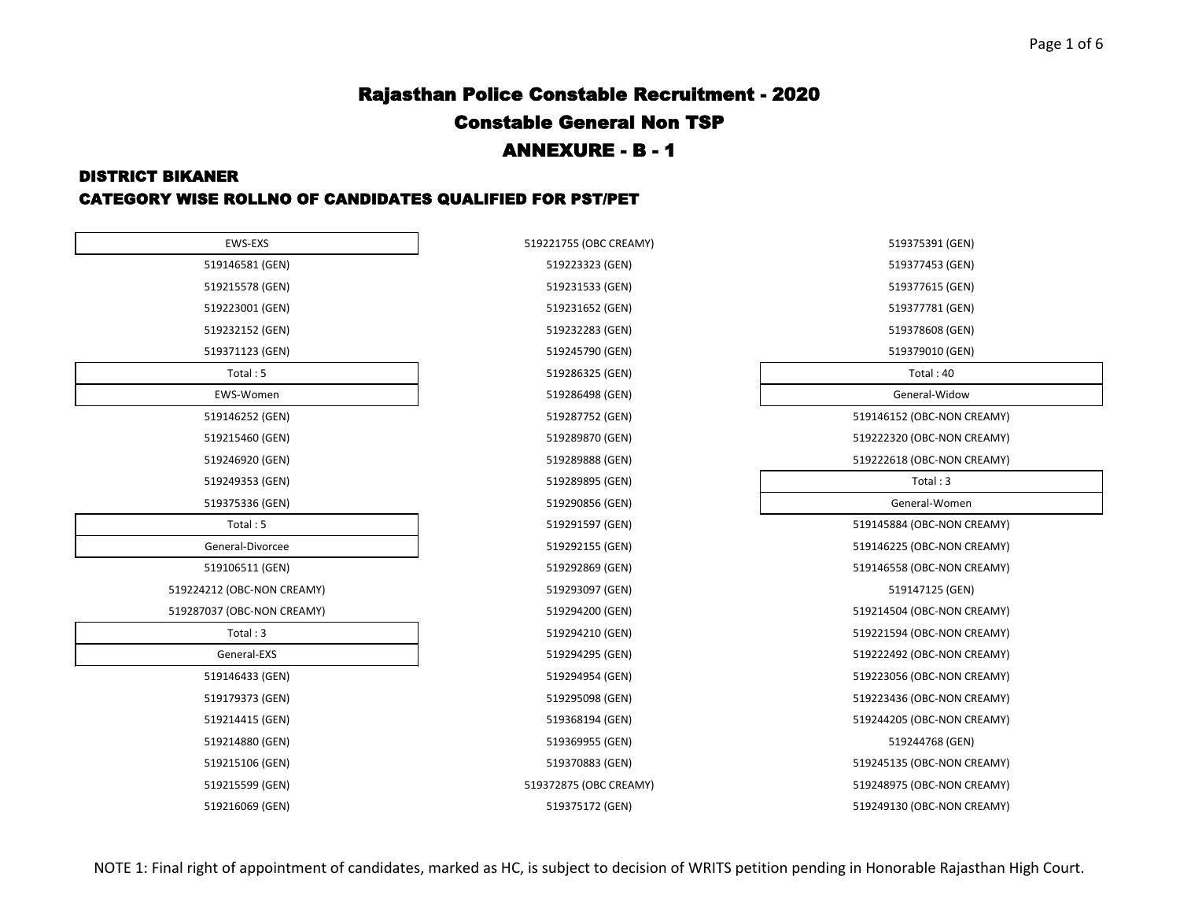#### DISTRICT BIKANER

### CATEGORY WISE ROLLNO OF CANDIDATES QUALIFIED FOR PST/PET

| EWS-EXS                    | 519221755 (OBC CREAMY) | 519375391 (GEN)            |
|----------------------------|------------------------|----------------------------|
| 519146581 (GEN)            | 519223323 (GEN)        | 519377453 (GEN)            |
| 519215578 (GEN)            | 519231533 (GEN)        | 519377615 (GEN)            |
| 519223001 (GEN)            | 519231652 (GEN)        | 519377781 (GEN)            |
| 519232152 (GEN)            | 519232283 (GEN)        | 519378608 (GEN)            |
| 519371123 (GEN)            | 519245790 (GEN)        | 519379010 (GEN)            |
| Total: 5                   | 519286325 (GEN)        | Total: 40                  |
| EWS-Women                  | 519286498 (GEN)        | General-Widow              |
| 519146252 (GEN)            | 519287752 (GEN)        | 519146152 (OBC-NON CREAMY) |
| 519215460 (GEN)            | 519289870 (GEN)        | 519222320 (OBC-NON CREAMY) |
| 519246920 (GEN)            | 519289888 (GEN)        | 519222618 (OBC-NON CREAMY) |
| 519249353 (GEN)            | 519289895 (GEN)        | Total: 3                   |
| 519375336 (GEN)            | 519290856 (GEN)        | General-Women              |
| Total: 5                   | 519291597 (GEN)        | 519145884 (OBC-NON CREAMY) |
| General-Divorcee           | 519292155 (GEN)        | 519146225 (OBC-NON CREAMY) |
| 519106511 (GEN)            | 519292869 (GEN)        | 519146558 (OBC-NON CREAMY) |
| 519224212 (OBC-NON CREAMY) | 519293097 (GEN)        | 519147125 (GEN)            |
| 519287037 (OBC-NON CREAMY) | 519294200 (GEN)        | 519214504 (OBC-NON CREAMY) |
| Total: 3                   | 519294210 (GEN)        | 519221594 (OBC-NON CREAMY) |
| General-EXS                | 519294295 (GEN)        | 519222492 (OBC-NON CREAMY) |
| 519146433 (GEN)            | 519294954 (GEN)        | 519223056 (OBC-NON CREAMY) |
| 519179373 (GEN)            | 519295098 (GEN)        | 519223436 (OBC-NON CREAMY) |
| 519214415 (GEN)            | 519368194 (GEN)        | 519244205 (OBC-NON CREAMY) |
| 519214880 (GEN)            | 519369955 (GEN)        | 519244768 (GEN)            |
| 519215106 (GEN)            | 519370883 (GEN)        | 519245135 (OBC-NON CREAMY) |
| 519215599 (GEN)            | 519372875 (OBC CREAMY) | 519248975 (OBC-NON CREAMY) |
| 519216069 (GEN)            | 519375172 (GEN)        | 519249130 (OBC-NON CREAMY) |

| 9221755 (OBC CREAMY) |
|----------------------|
| 519223323 (GEN)      |
| 519231533 (GEN)      |
| 519231652 (GEN)      |
| 519232283 (GEN)      |
| 519245790 (GEN)      |
| 519286325 (GEN)      |
| 519286498 (GEN)      |
| 519287752 (GEN)      |
| 519289870 (GEN)      |
| 519289888 (GEN)      |
| 519289895 (GEN)      |
| 519290856 (GEN)      |
| 519291597 (GEN)      |
| 519292155 (GEN)      |
| 519292869 (GEN)      |
| 519293097 (GEN)      |
| 519294200 (GEN)      |
| 519294210 (GEN)      |
| 519294295 (GEN)      |
| 519294954 (GEN)      |
| 519295098 (GEN)      |
| 519368194 (GEN)      |
| 519369955 (GEN)      |
| 519370883 (GEN)      |
| 9372875 (OBC CREAMY) |
| 519375172 (GEN)      |

| 519375391 (GEN)            |  |
|----------------------------|--|
| 519377453 (GEN)            |  |
| 519377615 (GEN)            |  |
| 519377781 (GEN)            |  |
| 519378608 (GEN)            |  |
| 519379010 (GEN)            |  |
| Total: 40                  |  |
| General-Widow              |  |
| 519146152 (OBC-NON CREAMY) |  |
| 519222320 (OBC-NON CREAMY) |  |
| 519222618 (OBC-NON CREAMY) |  |
| Total: 3                   |  |
| General-Women              |  |
| 519145884 (OBC-NON CREAMY) |  |
| 519146225 (OBC-NON CREAMY) |  |
| 519146558 (OBC-NON CREAMY) |  |
| 519147125 (GEN)            |  |
| 519214504 (OBC-NON CREAMY) |  |
| 519221594 (OBC-NON CREAMY) |  |
| 519222492 (OBC-NON CREAMY) |  |
| 519223056 (OBC-NON CREAMY) |  |
| 519223436 (OBC-NON CREAMY) |  |
| 519244205 (OBC-NON CREAMY) |  |
| 519244768 (GEN)            |  |
| 519245135 (OBC-NON CREAMY) |  |
| 519248975 (OBC-NON CREAMY) |  |
| 519249130 (OBC-NON CREAMY) |  |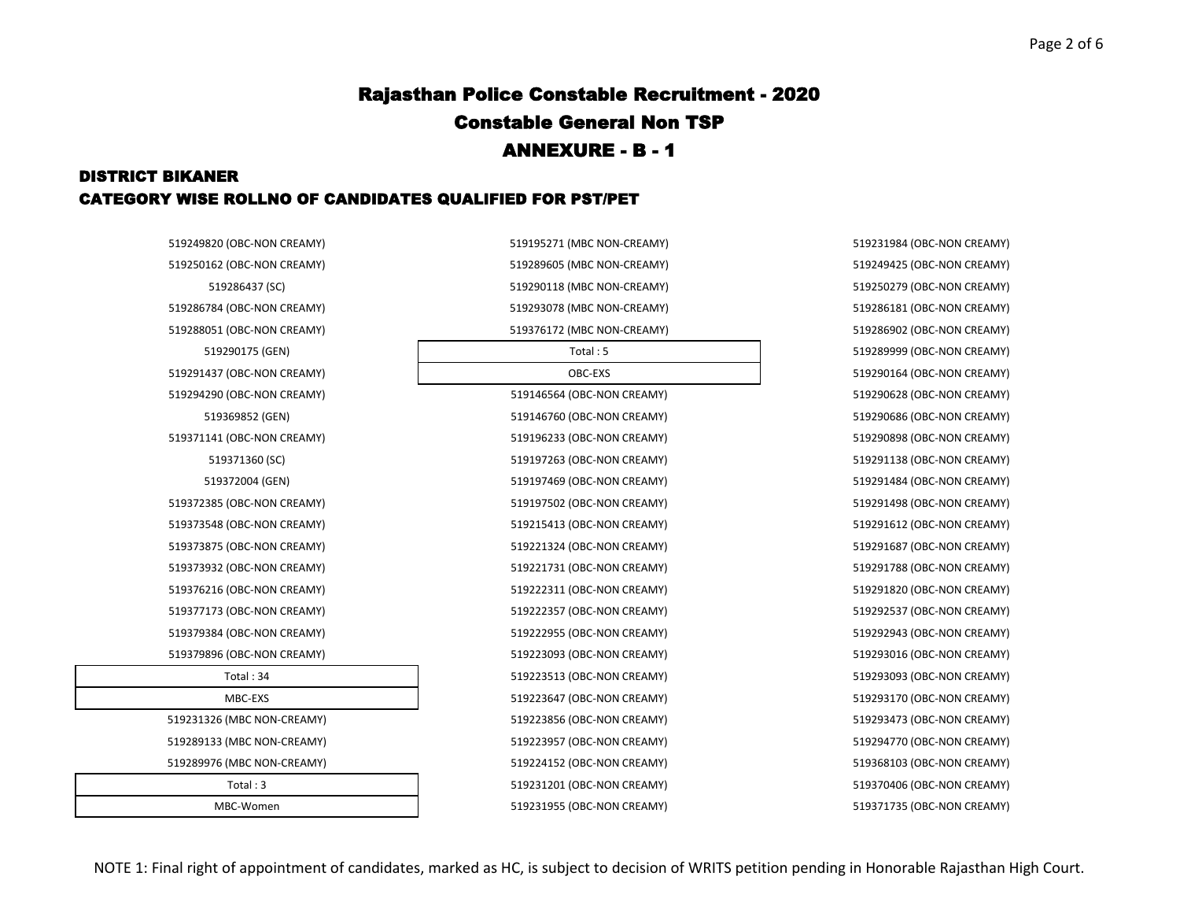### DISTRICT BIKANER CATEGORY WISE ROLLNO OF CANDIDATES QUALIFIED FOR PST/PET

| 519249820 (OBC-NON CREAMY) | 519195271 (MBC NON-CREAMY) | 519231984 (OBC-NON CREAMY) |
|----------------------------|----------------------------|----------------------------|
| 519250162 (OBC-NON CREAMY) | 519289605 (MBC NON-CREAMY) | 519249425 (OBC-NON CREAMY) |
| 519286437 (SC)             | 519290118 (MBC NON-CREAMY) | 519250279 (OBC-NON CREAMY) |
| 519286784 (OBC-NON CREAMY) | 519293078 (MBC NON-CREAMY) | 519286181 (OBC-NON CREAMY) |
| 519288051 (OBC-NON CREAMY) | 519376172 (MBC NON-CREAMY) | 519286902 (OBC-NON CREAMY) |
| 519290175 (GEN)            | Total: 5                   | 519289999 (OBC-NON CREAMY) |
| 519291437 (OBC-NON CREAMY) | OBC-EXS                    | 519290164 (OBC-NON CREAMY) |
| 519294290 (OBC-NON CREAMY) | 519146564 (OBC-NON CREAMY) | 519290628 (OBC-NON CREAMY) |
| 519369852 (GEN)            | 519146760 (OBC-NON CREAMY) | 519290686 (OBC-NON CREAMY) |
| 519371141 (OBC-NON CREAMY) | 519196233 (OBC-NON CREAMY) | 519290898 (OBC-NON CREAMY) |
| 519371360 (SC)             | 519197263 (OBC-NON CREAMY) | 519291138 (OBC-NON CREAMY) |
| 519372004 (GEN)            | 519197469 (OBC-NON CREAMY) | 519291484 (OBC-NON CREAMY) |
| 519372385 (OBC-NON CREAMY) | 519197502 (OBC-NON CREAMY) | 519291498 (OBC-NON CREAMY) |
| 519373548 (OBC-NON CREAMY) | 519215413 (OBC-NON CREAMY) | 519291612 (OBC-NON CREAMY) |
| 519373875 (OBC-NON CREAMY) | 519221324 (OBC-NON CREAMY) | 519291687 (OBC-NON CREAMY) |
| 519373932 (OBC-NON CREAMY) | 519221731 (OBC-NON CREAMY) | 519291788 (OBC-NON CREAMY) |
| 519376216 (OBC-NON CREAMY) | 519222311 (OBC-NON CREAMY) | 519291820 (OBC-NON CREAMY) |
| 519377173 (OBC-NON CREAMY) | 519222357 (OBC-NON CREAMY) | 519292537 (OBC-NON CREAMY) |
| 519379384 (OBC-NON CREAMY) | 519222955 (OBC-NON CREAMY) | 519292943 (OBC-NON CREAMY) |
| 519379896 (OBC-NON CREAMY) | 519223093 (OBC-NON CREAMY) | 519293016 (OBC-NON CREAMY) |
| Total: 34                  | 519223513 (OBC-NON CREAMY) | 519293093 (OBC-NON CREAMY) |
| MBC-EXS                    | 519223647 (OBC-NON CREAMY) | 519293170 (OBC-NON CREAMY) |
| 519231326 (MBC NON-CREAMY) | 519223856 (OBC-NON CREAMY) | 519293473 (OBC-NON CREAMY) |
| 519289133 (MBC NON-CREAMY) | 519223957 (OBC-NON CREAMY) | 519294770 (OBC-NON CREAMY) |
| 519289976 (MBC NON-CREAMY) | 519224152 (OBC-NON CREAMY) | 519368103 (OBC-NON CREAMY) |
| Total: 3                   | 519231201 (OBC-NON CREAMY) | 519370406 (OBC-NON CREAMY) |
| MBC-Women                  | 519231955 (OBC-NON CREAMY) | 519371735 (OBC-NON CREAMY) |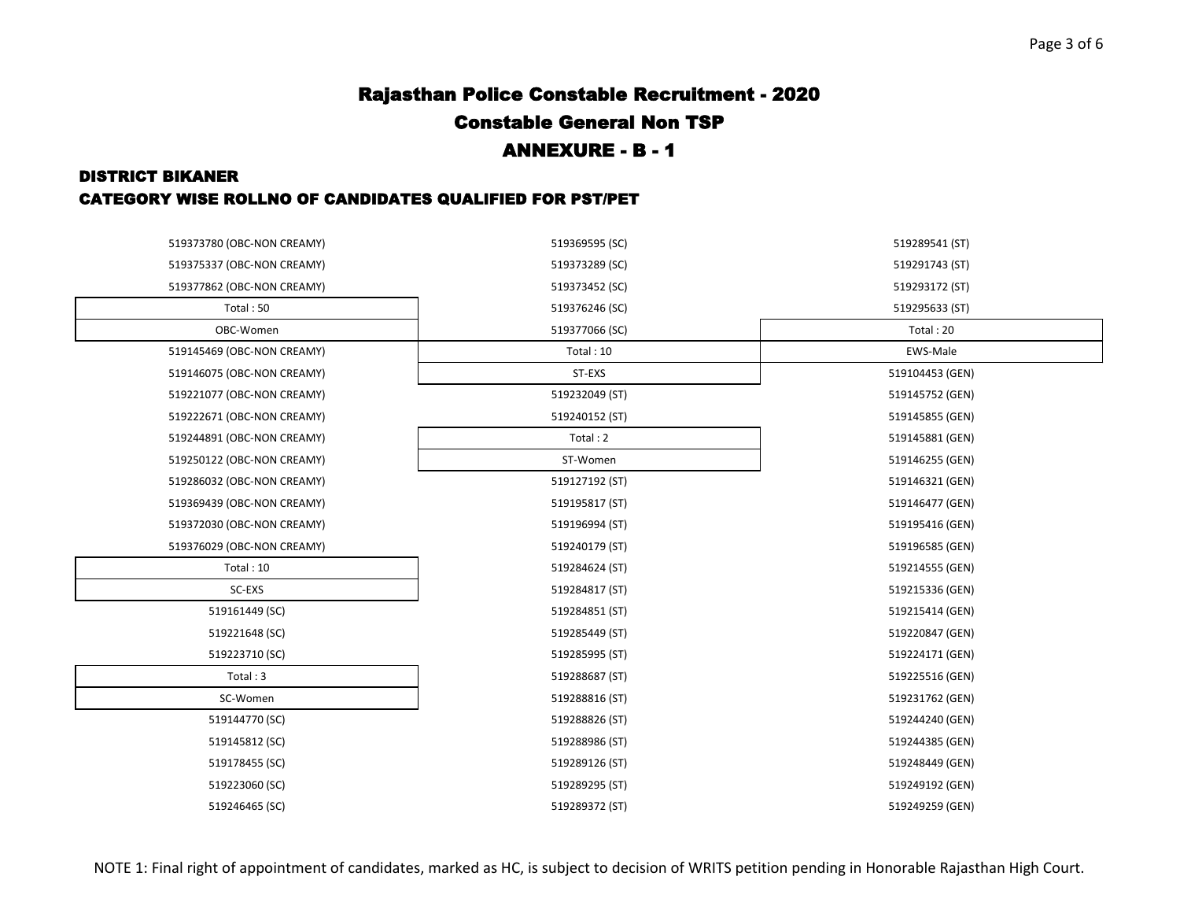### DISTRICT BIKANER CATEGORY WISE ROLLNO OF CANDIDATES QUALIFIED FOR PST/PET

| 519373780 (OBC-NON CREAMY) | 519369595 (SC) | 519289541 (ST)  |
|----------------------------|----------------|-----------------|
| 519375337 (OBC-NON CREAMY) | 519373289 (SC) | 519291743 (ST)  |
| 519377862 (OBC-NON CREAMY) | 519373452 (SC) | 519293172 (ST)  |
| Total: 50                  | 519376246 (SC) | 519295633 (ST)  |
| OBC-Women                  | 519377066 (SC) | Total: 20       |
| 519145469 (OBC-NON CREAMY) | Total: 10      | EWS-Male        |
| 519146075 (OBC-NON CREAMY) | ST-EXS         | 519104453 (GEN) |
| 519221077 (OBC-NON CREAMY) | 519232049 (ST) | 519145752 (GEN) |
| 519222671 (OBC-NON CREAMY) | 519240152 (ST) | 519145855 (GEN) |
| 519244891 (OBC-NON CREAMY) | Total: 2       | 519145881 (GEN) |
| 519250122 (OBC-NON CREAMY) | ST-Women       | 519146255 (GEN) |
| 519286032 (OBC-NON CREAMY) | 519127192 (ST) | 519146321 (GEN) |
| 519369439 (OBC-NON CREAMY) | 519195817 (ST) | 519146477 (GEN) |
| 519372030 (OBC-NON CREAMY) | 519196994 (ST) | 519195416 (GEN) |
| 519376029 (OBC-NON CREAMY) | 519240179 (ST) | 519196585 (GEN) |
| Total: 10                  | 519284624 (ST) | 519214555 (GEN) |
| SC-EXS                     | 519284817 (ST) | 519215336 (GEN) |
| 519161449 (SC)             | 519284851 (ST) | 519215414 (GEN) |
| 519221648 (SC)             | 519285449 (ST) | 519220847 (GEN) |
| 519223710 (SC)             | 519285995 (ST) | 519224171 (GEN) |
| Total: 3                   | 519288687 (ST) | 519225516 (GEN) |
| SC-Women                   | 519288816 (ST) | 519231762 (GEN) |
| 519144770 (SC)             | 519288826 (ST) | 519244240 (GEN) |
| 519145812 (SC)             | 519288986 (ST) | 519244385 (GEN) |
| 519178455 (SC)             | 519289126 (ST) | 519248449 (GEN) |
| 519223060 (SC)             | 519289295 (ST) | 519249192 (GEN) |
| 519246465 (SC)             | 519289372 (ST) | 519249259 (GEN) |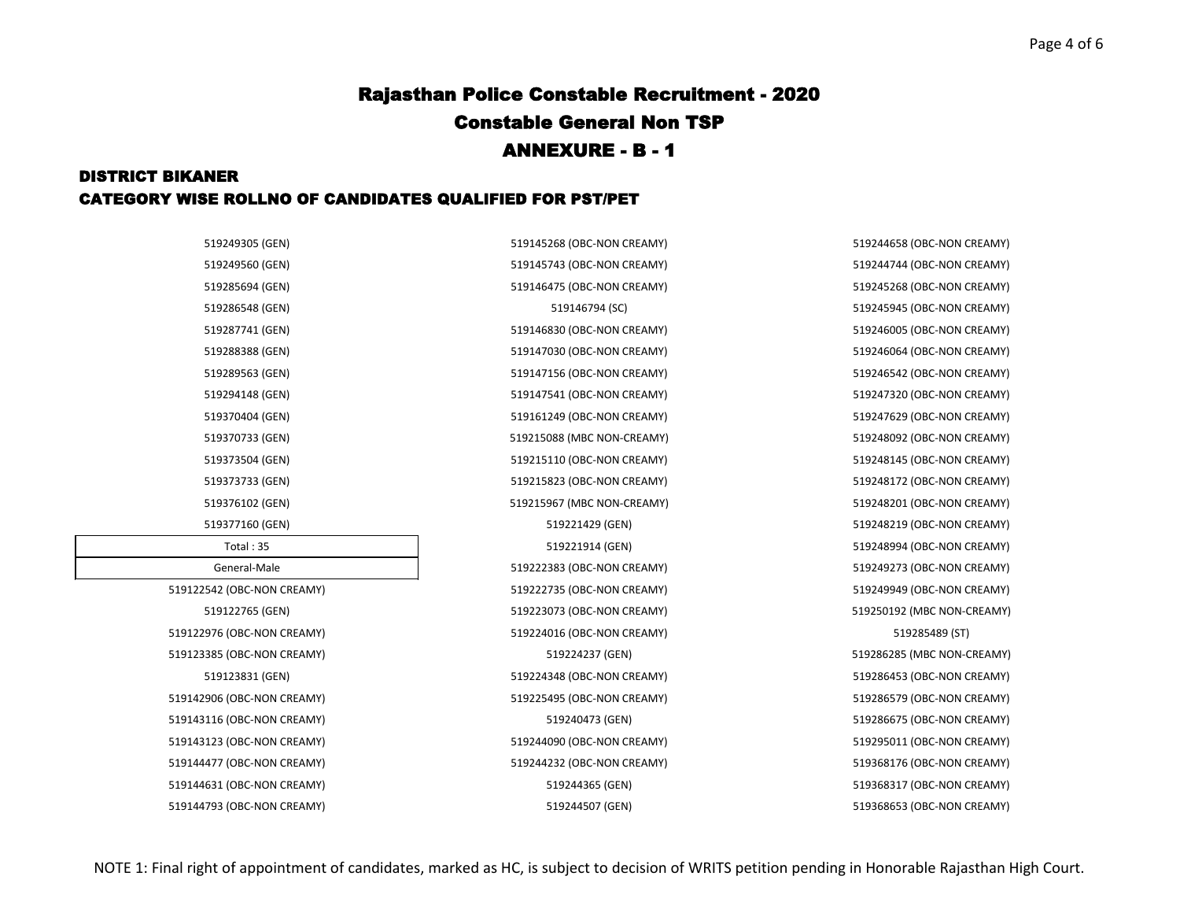### DISTRICT BIKANER CATEGORY WISE ROLLNO OF CANDIDATES QUALIFIED FOR PST/PET

519286548 (GEN) 519146794 (SC) 519245945 (OBC-NON CREAMY) 519377160 (GEN) 519221429 (GEN) 519248219 (OBC-NON CREAMY) Total : 35 519221914 (GEN) 519248994 (OBC-NON CREAMY) 519123385 (OBC-NON CREAMY) 519224237 (GEN) 519286285 (MBC NON-CREAMY) 519143116 (OBC-NON CREAMY) 519240473 (GEN) 519286675 (OBC-NON CREAMY)

519249305 (GEN) 519145268 (OBC-NON CREAMY) 519244658 (OBC-NON CREAMY) 519249560 (GEN) 519145743 (OBC-NON CREAMY) 519244744 (OBC-NON CREAMY) 519285694 (GEN) 519146475 (OBC-NON CREAMY) 519245268 (OBC-NON CREAMY) 519287741 (GEN) 519146830 (OBC-NON CREAMY) 519246005 (OBC-NON CREAMY) 519288388 (GEN) 519147030 (OBC-NON CREAMY) 519246064 (OBC-NON CREAMY) 519289563 (GEN) 519147156 (OBC-NON CREAMY) 519246542 (OBC-NON CREAMY) 519294148 (GEN) 519147541 (OBC-NON CREAMY) 519247320 (OBC-NON CREAMY) 519370404 (GEN) 519161249 (OBC-NON CREAMY) 519247629 (OBC-NON CREAMY) 519370733 (GEN) 519215088 (MBC NON-CREAMY) 519248092 (OBC-NON CREAMY) 519373504 (GEN) 519215110 (OBC-NON CREAMY) 519248145 (OBC-NON CREAMY) 519373733 (GEN) 519215823 (OBC-NON CREAMY) 519248172 (OBC-NON CREAMY) 519376102 (GEN) 519215967 (MBC NON-CREAMY) 519248201 (OBC-NON CREAMY) 519222383 (OBC-NON CREAMY) 519249273 (OBC-NON CREAMY) 519122542 (OBC-NON CREAMY) 519222735 (OBC-NON CREAMY) 519249949 (OBC-NON CREAMY) 519122765 (GEN) 519223073 (OBC-NON CREAMY) 519250192 (MBC NON-CREAMY) 519122976 (OBC-NON CREAMY) 519224016 (OBC-NON CREAMY) 519285489 (ST) 519123831 (GEN) 519224348 (OBC-NON CREAMY) 519286453 (OBC-NON CREAMY) 519142906 (OBC-NON CREAMY) 519225495 (OBC-NON CREAMY) 519286579 (OBC-NON CREAMY) 519143123 (OBC-NON CREAMY) 519244090 (OBC-NON CREAMY) 519295011 (OBC-NON CREAMY) 519144477 (OBC-NON CREAMY) 519244232 (OBC-NON CREAMY) 519368176 (OBC-NON CREAMY) 519144631 (OBC-NON CREAMY) 519244365 (GEN) 519368317 (OBC-NON CREAMY) 519144793 (OBC-NON CREAMY) 519244507 (GEN) 519368653 (OBC-NON CREAMY)

| 519249305 (GEN)            |
|----------------------------|
| 519249560 (GEN)            |
| 519285694 (GEN)            |
| 519286548 (GEN)            |
| 519287741 (GEN)            |
| 519288388 (GEN)            |
| 519289563 (GEN)            |
| 519294148 (GEN)            |
| 519370404 (GEN)            |
| 519370733 (GEN)            |
| 519373504 (GEN)            |
| 519373733 (GEN)            |
| 519376102 (GEN)            |
| 519377160 (GEN)            |
| Total: 35                  |
| General-Male               |
| 519122542 (OBC-NON CREAMY) |
| 519122765 (GEN)            |
| 519122976 (OBC-NON CREAMY) |
| 519123385 (OBC-NON CREAMY) |
| 519123831 (GEN)            |
| 519142906 (OBC-NON CREAMY) |
| 519143116 (OBC-NON CREAMY) |
| 519143123 (OBC-NON CREAMY) |
| 519144477 (OBC-NON CREAMY) |
| 519144631 (OBC-NON CREAMY) |
|                            |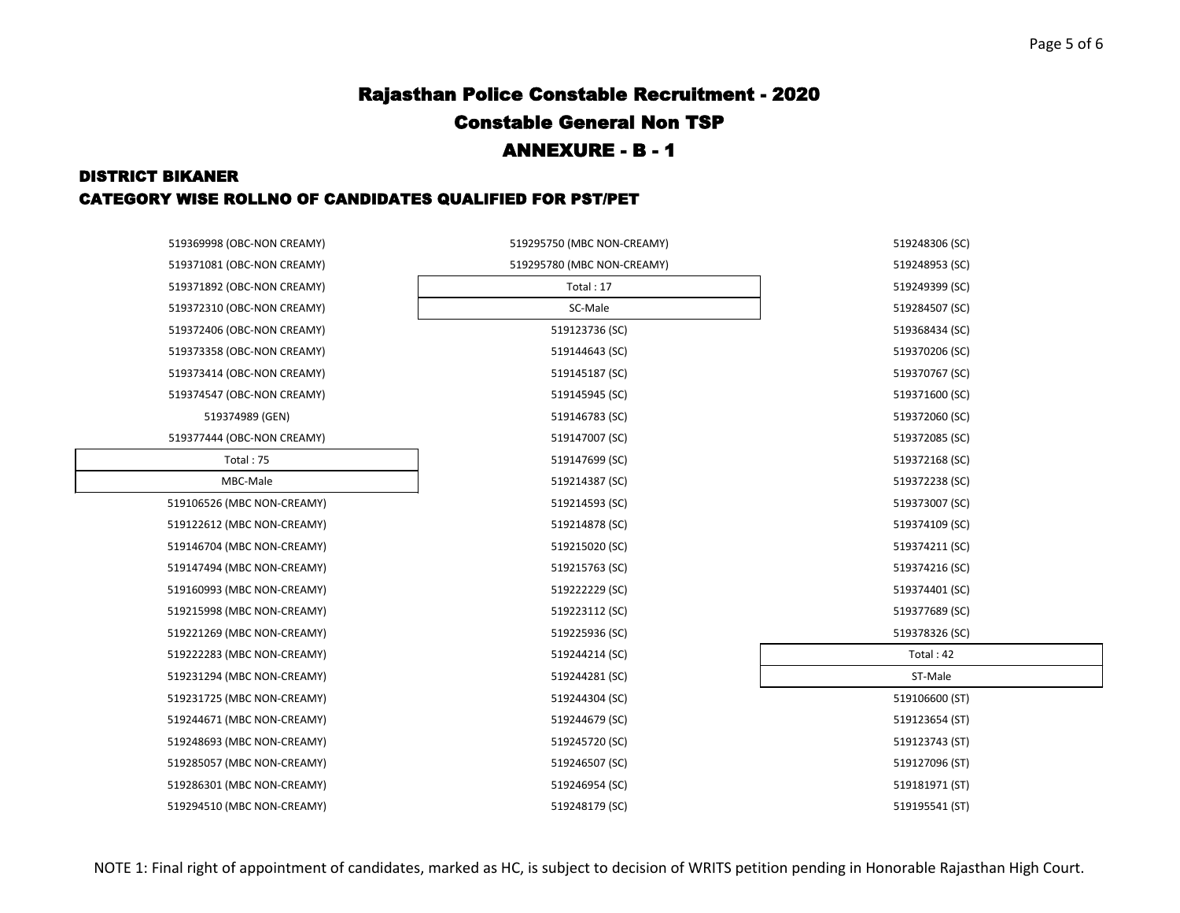#### DISTRICT BIKANER

### CATEGORY WISE ROLLNO OF CANDIDATES QUALIFIED FOR PST/PET

| 519369998 (OBC-NON CREAMY) | 519295750 (MBC NON-CREAMY) | 519248306 (SC) |
|----------------------------|----------------------------|----------------|
| 519371081 (OBC-NON CREAMY) | 519295780 (MBC NON-CREAMY) | 519248953 (SC) |
| 519371892 (OBC-NON CREAMY) | Total: 17                  | 519249399 (SC) |
| 519372310 (OBC-NON CREAMY) | SC-Male                    | 519284507 (SC) |
| 519372406 (OBC-NON CREAMY) | 519123736 (SC)             | 519368434 (SC) |
| 519373358 (OBC-NON CREAMY) | 519144643 (SC)             | 519370206 (SC) |
| 519373414 (OBC-NON CREAMY) | 519145187 (SC)             | 519370767 (SC) |
| 519374547 (OBC-NON CREAMY) | 519145945 (SC)             | 519371600 (SC) |
| 519374989 (GEN)            | 519146783 (SC)             | 519372060 (SC) |
| 519377444 (OBC-NON CREAMY) | 519147007 (SC)             | 519372085 (SC) |
| Total: 75                  | 519147699 (SC)             | 519372168 (SC) |
| MBC-Male                   | 519214387 (SC)             | 519372238 (SC) |
| 519106526 (MBC NON-CREAMY) | 519214593 (SC)             | 519373007 (SC) |
| 519122612 (MBC NON-CREAMY) | 519214878 (SC)             | 519374109 (SC) |
| 519146704 (MBC NON-CREAMY) | 519215020 (SC)             | 519374211 (SC) |
| 519147494 (MBC NON-CREAMY) | 519215763 (SC)             | 519374216 (SC) |
| 519160993 (MBC NON-CREAMY) | 519222229 (SC)             | 519374401 (SC) |
| 519215998 (MBC NON-CREAMY) | 519223112 (SC)             | 519377689 (SC) |
| 519221269 (MBC NON-CREAMY) | 519225936 (SC)             | 519378326 (SC) |
| 519222283 (MBC NON-CREAMY) | 519244214 (SC)             | Total: 42      |
| 519231294 (MBC NON-CREAMY) | 519244281 (SC)             | ST-Male        |
| 519231725 (MBC NON-CREAMY) | 519244304 (SC)             | 519106600 (ST) |
| 519244671 (MBC NON-CREAMY) | 519244679 (SC)             | 519123654 (ST) |
| 519248693 (MBC NON-CREAMY) | 519245720 (SC)             | 519123743 (ST) |
| 519285057 (MBC NON-CREAMY) | 519246507 (SC)             | 519127096 (ST) |
| 519286301 (MBC NON-CREAMY) | 519246954 (SC)             | 519181971 (ST) |
| 519294510 (MBC NON-CREAMY) | 519248179 (SC)             | 519195541 (ST) |
|                            |                            |                |